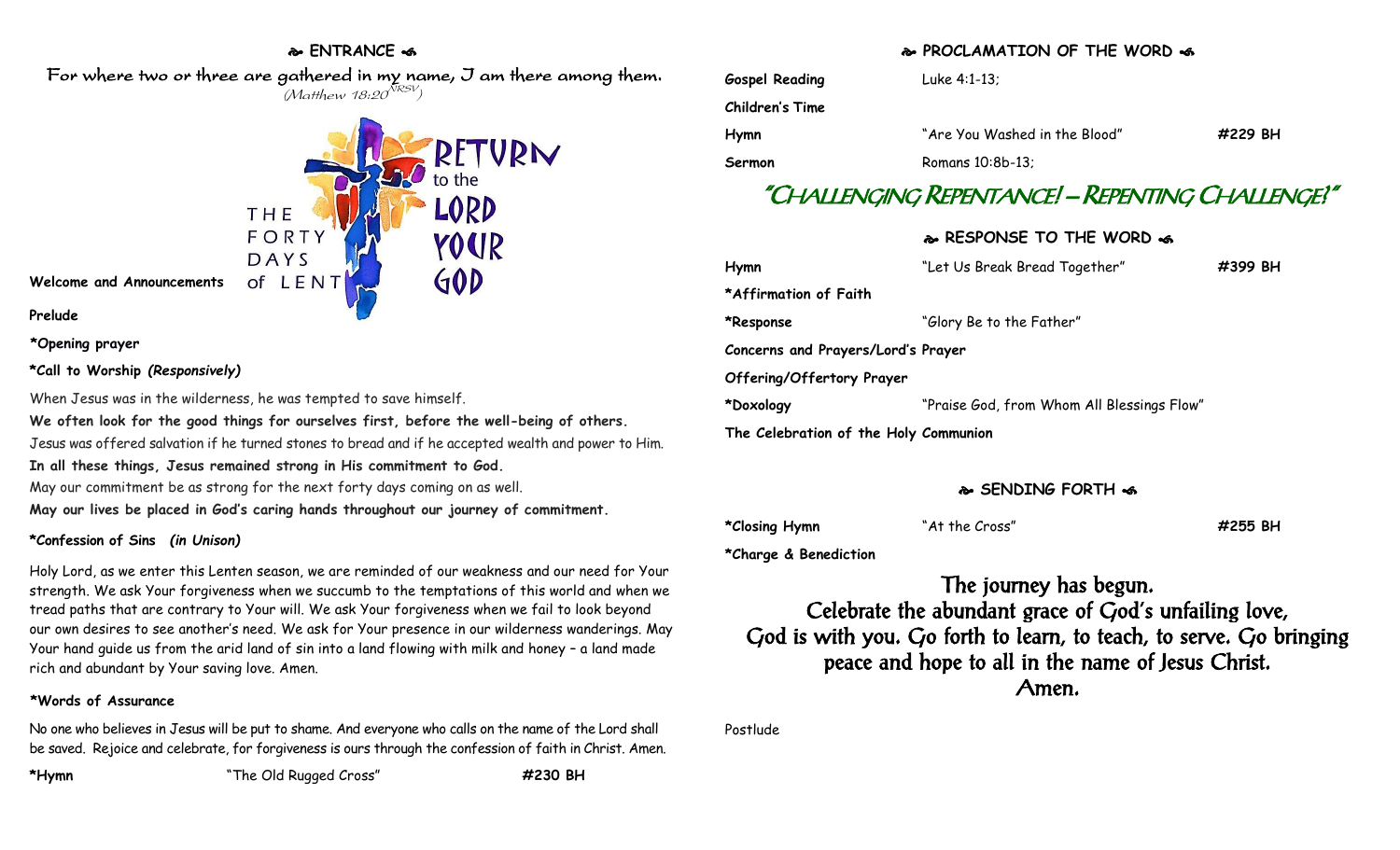### **ENTRANCE**

 For where two or three are gathered in my name, I am there among them.  $(M$ atthew 18:20 $^{NRSV})$ 



**Welcome and Announcements**

**Prelude**

**\*Opening prayer**

### **\*Call to Worship** *(Responsively)*

When Jesus was in the wilderness, he was tempted to save himself. **We often look for the good things for ourselves first, before the well-being of others.** Jesus was offered salvation if he turned stones to bread and if he accepted wealth and power to Him. **In all these things, Jesus remained strong in His commitment to God.** May our commitment be as strong for the next forty days coming on as well. **May our lives be placed in God's caring hands throughout our journey of commitment.**

### **\*Confession of Sins** *(in Unison)*

Holy Lord, as we enter this Lenten season, we are reminded of our weakness and our need for Your strength. We ask Your forgiveness when we succumb to the temptations of this world and when we tread paths that are contrary to Your will. We ask Your forgiveness when we fail to look beyond our own desires to see another's need. We ask for Your presence in our wilderness wanderings. May Your hand guide us from the arid land of sin into a land flowing with milk and honey – a land made rich and abundant by Your saving love. Amen.

### **\*Words of Assurance**

No one who believes in Jesus will be put to shame. And everyone who calls on the name of the Lord shall be saved. Rejoice and celebrate, for forgiveness is ours through the confession of faith in Christ. Amen.

### **PROCLAMATION OF THE WORD**

| <b>Gospel Reading</b> | Luke 4:1-13:                  |         |
|-----------------------|-------------------------------|---------|
| Children's Time       |                               |         |
| Hymn                  | "Are You Washed in the Blood" | #229 BH |
| Sermon                | Romans 10:8b-13:              |         |

# "CHALLENGING REPENTANCE! – REPENTING CHALLENGE?"

### **RESPONSE TO THE WORD**

| "Let Us Break Bread Together"              | #399 BH |  |  |  |
|--------------------------------------------|---------|--|--|--|
|                                            |         |  |  |  |
| "Glory Be to the Father"                   |         |  |  |  |
| Concerns and Prayers/Lord's Prayer         |         |  |  |  |
|                                            |         |  |  |  |
| "Praise God, from Whom All Blessings Flow" |         |  |  |  |
| The Celebration of the Holy Communion      |         |  |  |  |
|                                            |         |  |  |  |

### **SENDING FORTH**

**\*Closing Hymn** "At the Cross" **#255 BH**

**\*Charge & Benediction**

The journey has begun. Celebrate the abundant grace of God's unfailing love, God is with you. Go forth to learn, to teach, to serve. Go bringing peace and hope to all in the name of Jesus Christ. Amen.

Postlude